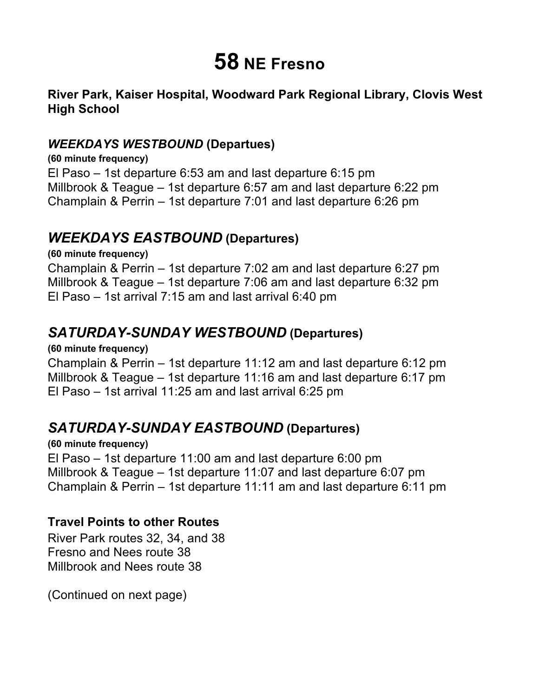# **58 NE Fresno**

### **River Park, Kaiser Hospital, Woodward Park Regional Library, Clovis West High School**

#### *WEEKDAYS WESTBOUND* **(Departues)**

 El Paso – 1st departure 6:53 am and last departure 6:15 pm Millbrook & Teague – 1st departure 6:57 am and last departure 6:22 pm Champlain & Perrin – 1st departure 7:01 and last departure 6:26 pm **(60 minute frequency)** 

## *WEEKDAYS EASTBOUND* **(Departures)**

 Champlain & Perrin – 1st departure 7:02 am and last departure 6:27 pm Millbrook & Teague – 1st departure 7:06 am and last departure 6:32 pm El Paso – 1st arrival 7:15 am and last arrival 6:40 pm **(60 minute frequency)** 

# *SATURDAY-SUNDAY WESTBOUND* **(Departures)**

**(60 minute frequency)** 

 Champlain & Perrin – 1st departure 11:12 am and last departure 6:12 pm El Paso – 1st arrival 11:25 am and last arrival 6:25 pm Millbrook & Teague – 1st departure 11:16 am and last departure 6:17 pm

# *SATURDAY-SUNDAY EASTBOUND* **(Departures)**

 El Paso – 1st departure 11:00 am and last departure 6:00 pm Champlain & Perrin – 1st departure 11:11 am and last departure 6:11 pm **(60 minute frequency)**  Millbrook & Teague – 1st departure 11:07 and last departure 6:07 pm

#### **Travel Points to other Routes**

 River Park routes 32, 34, and 38 Millbrook and Nees route 38 Fresno and Nees route 38

(Continued on next page)